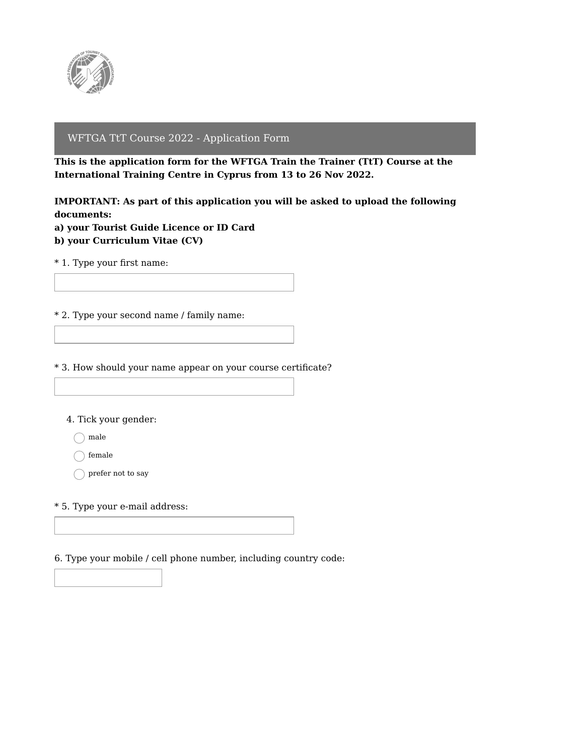

## WFTGA TtT Course 2022 - Application Form

**This is the application form for the WFTGA Train the Trainer (TtT) Course at the International Training Centre in Cyprus from 13 to 26 Nov 2022.**

**IMPORTANT: As part of this application you will be asked to upload the following documents:**

**a) your Tourist Guide Licence or ID Card b) your Curriculum Vitae (CV)**

\* 1. Type your first name:

\* 2. Type your second name / family name:

\* 3. How should your name appear on your course certificate?

4. Tick your gender:

 $\bigcap$  male

female

 $\bigcap$  prefer not to say

\* 5. Type your e-mail address:

6. Type your mobile / cell phone number, including country code: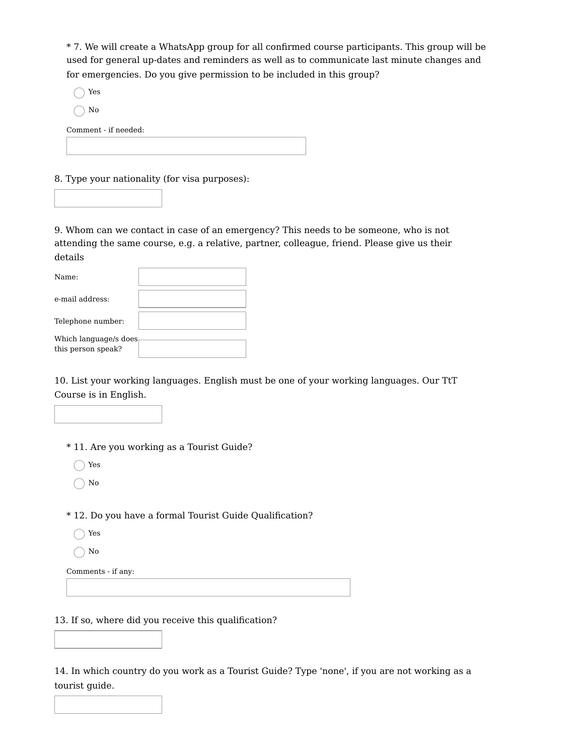\* 7. We will create a WhatsApp group for all confirmed course participants. This group will be used for general up-dates and reminders as well as to communicate last minute changes and for emergencies. Do you give permission to be included in this group?

◯ Yes

 $\big)$  No

Comment - if needed:

8. Type your nationality (for visa purposes):

9. Whom can we contact in case of an emergency? This needs to be someone, who is not attending the same course, e.g. a relative, partner, colleague, friend. Please give us their details

| Name:                                       |  |
|---------------------------------------------|--|
| e-mail address:                             |  |
| Telephone number:                           |  |
| Which language/s does<br>this person speak? |  |

10. List your working languages. English must be one of your working languages. Our TtT Course is in English.

\* 11. Are you working as a Tourist Guide?

◯ Yes

 $\bigcap$  No

\* 12. Do you have a formal Tourist Guide Qualification?

- ◯ Yes
- $\bigcap$  No

Comments - if any:

13. If so, where did you receive this qualification?

14. In which country do you work as a Tourist Guide? Type 'none', if you are not working as a tourist guide.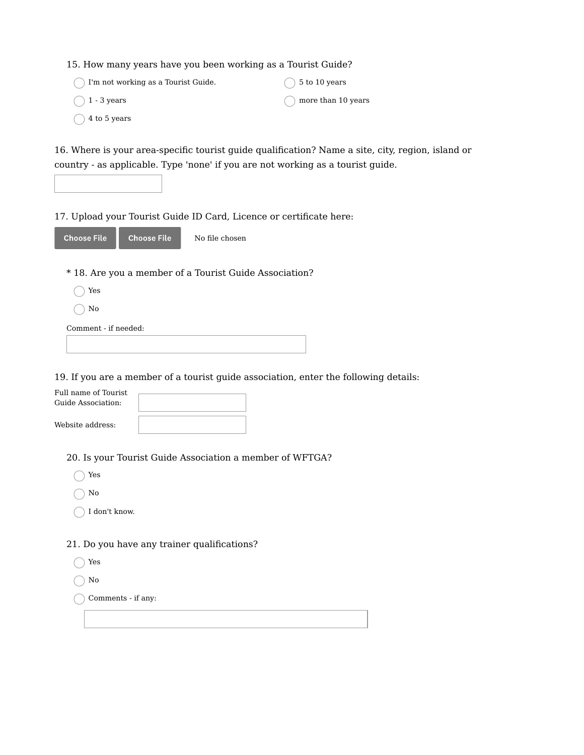| 15. How many years have you been working as a Tourist Guide? |  |  |
|--------------------------------------------------------------|--|--|
|                                                              |  |  |

| I'm not working as a Tourist Guide. | $( ) 5$ to 10 years          |
|-------------------------------------|------------------------------|
| $\bigcap$ 1 - 3 years               | $\bigcap$ more than 10 years |
| $\bigcirc$ 4 to 5 years             |                              |

16. Where is your area-specific tourist guide qualification? Name a site, city, region, island or country - as applicable. Type 'none' if you are not working as a tourist guide.

17. Upload your Tourist Guide ID Card, Licence or certificate here:

| 'Choose File | <b>Choose File</b> | No file chosen |
|--------------|--------------------|----------------|
|--------------|--------------------|----------------|

- \* 18. Are you a member of a Tourist Guide Association?
	- Yes
	- $\bigcap$  No

Comment - if needed:

19. If you are a member of a tourist guide association, enter the following details:

| Full name of Tourist<br>Guide Association: |  |
|--------------------------------------------|--|
| Website address:                           |  |

20. Is your Tourist Guide Association a member of WFTGA?

|  | ÷<br>۰.<br>×<br>۰ |
|--|-------------------|

 $\bigcirc$  No

 $\bigcap$  I don't know.

## 21. Do you have any trainer qualifications?

◯ Yes

 $\bigcap$  No

 $\bigcap$  Comments - if any: